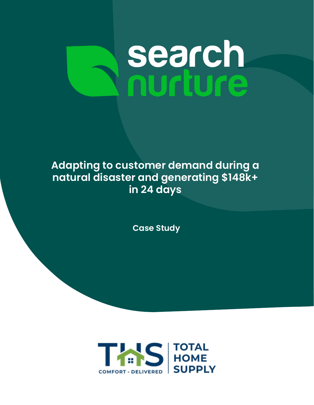# **search**<br>nurture

# **Adapting to customer demand during a natural disaster and generating \$148k+ in 24 days**

**Case Study**

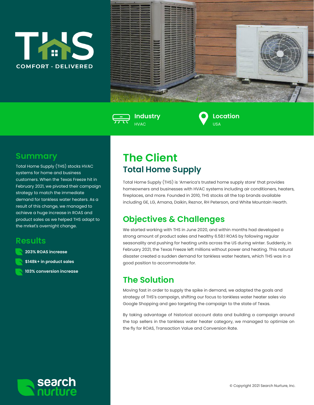





**Location**  $U<sub>Q</sub>$ 

#### **Summary**

Total Home Supply (THS) stocks HVAC systems for home and business customers. When the Texas Freeze hit in February 2021, we pivoted their campaign strategy to match the immediate demand for tankless water heaters. As a result of this change, we managed to achieve a huge increase in ROAS and product sales as we helped THS adapt to the mrket's overnight change.

#### **Results**

**203% ROAS increase \$148k+ in product sales 103% conversion increase**

## **The Client Total Home Supply**

Total Home Supply (THS) is 'America's trusted home supply store' that provides homeowners and businesses with HVAC systems including air conditioners, heaters, fireplaces, and more. Founded in 2010, THS stocks all the top brands available including GE, LG, Amana, Daikin, Reznor, RH Peterson, and White Mountain Hearth.

## **Objectives & Challenges**

We started working with THS in June 2020, and within months had developed a strong amount of product sales and healthy 6.58:1 ROAS by following regular seasonality and pushing for heating units across the US during winter. Suddenly, in February 2021, the Texas Freeze left millions without power and heating. This natural disaster created a sudden demand for tankless water heaters, which THS was in a good position to accommodate for.

## **The Solution**

Moving fast in order to supply the spike in demand, we adapted the goals and strategy of THS's campaign, shifting our focus to tankless water heater sales via Google Shopping and geo targeting the campaign to the state of Texas.

By taking advantage of historical account data and building a campaign around the top sellers in the tankless water heater category, we managed to optimize on the fly for ROAS, Transaction Value and Conversion Rate.